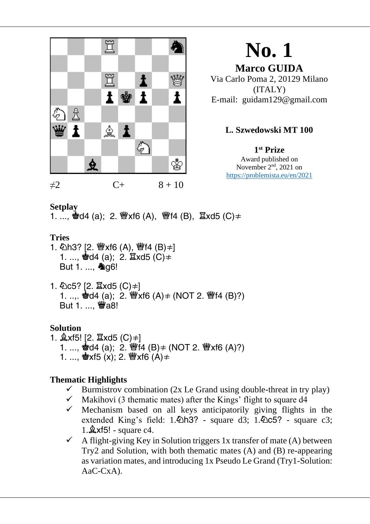

**Marco GUIDA** Via Carlo Poma 2, 20129 Milano (ITALY) E-mail: guidam129@gmail.com

## **L. Szwedowski MT 100**

**1 st Prize** Award published on November 2<sup>nd</sup>, 2021 on https://problemista.eu/en/2021

#### **Setplay**

1. ...,  $\dot{Q}$ d4 (a); 2.  $Q$ xf6 (A),  $Q$ f4 (B),  $Q$ xd5 (C) $\neq$ 

## **Tries**

- 1. 公h3? [2. 營xf6 (A), 營f4 (B) = 1 1. ...,  $\bullet$ d4 (a); 2.  $\Xi$ xd5 (C)  $\neq$ But 1. ..., **Ag6!**
- 1. ①c5? [2.  $\Xi$ xd5 (C)≠] 1. ....  $\dot{Q}d4$  (a); 2.  $\ddot{Q}x$  (A)  $\neq$  (NOT 2.  $\ddot{Q}f4$  (B)?) But 1. ... *@a8!*

#### **Solution**

1.  $\&$ xf5! [2.  $\Xi$ xd5 (C)≠] 1. ...,  $\dot{Q}d4$  (a); 2.  $\ddot{Q}f4$  (B)  $\neq$  (NOT 2.  $\ddot{Q}f8$  (A)?) 1. ...,  $\mathbf{\Phi}$ xf5 (x); 2.  $\mathbf{\Psi}$ xf6 (A) $\neq$ 

- $\checkmark$  Burmistrov combination (2x Le Grand using double-threat in try play)
- $\checkmark$  Makihovi (3 thematic mates) after the Kings' flight to square d4
- $\checkmark$  Mechanism based on all keys anticipatorily giving flights in the extended King's field:  $1.\overline{\textcircled{2}}$ h3? - square d3;  $1.\overline{\textcircled{2}}$ c5? - square c3;  $1.\&$  xf5! - square c4.
- $\checkmark$  A flight-giving Key in Solution triggers 1x transfer of mate (A) between Try2 and Solution, with both thematic mates (A) and (B) re-appearing as variation mates, and introducing 1x Pseudo Le Grand (Try1-Solution: AaC-CxA).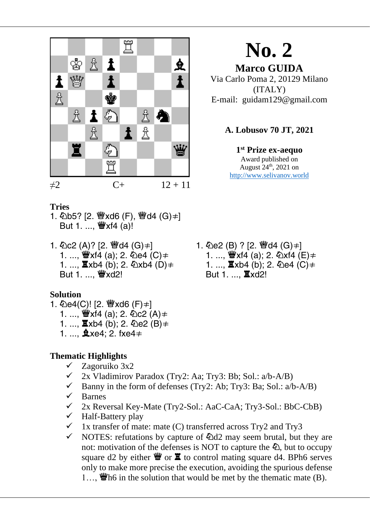

**Marco GUIDA** Via Carlo Poma 2, 20129 Milano (ITALY) E-mail: guidam129@gmail.com

#### **A. Lobusov 70 JT, 2021**

**1 st Prize ex-aequo** Award published on August  $24<sup>th</sup>$ , 2021 on [http://www.selivanov.world](http://www.selivanov.world/)

#### **Tries**

- 1. 公b5? [2. 營xd6 (F), 營d4 (G)=1 But 1. ..., 豐xf4 (a)!
- 1. 公 $c2(A)$ ? [2. 營d4 (G)  $\neq$ ] 1. ...,  $\mathscr{W}$ xf4 (a); 2.  $\&$ e4 (C)  $\neq$ 1. ...,  $\Xi$ xb4 (b); 2.  $\Phi$ xb4 (D)  $\neq$ But 1. ..., *Wxd2!*

#### **Solution**

- 1. 4 e4(C)! [2. <sup>幽</sup>xd6 (F)≠]
	- 1. ...,  $\mathbf{W}$ xf4 (a); 2.  $\mathbf{\hat{Q}}$ c2 (A)  $\neq$
	- 1. ...,  $\Xi$ xb4 (b); 2.  $\Phi$ e2 (B)  $\neq$
	- 1. ...,  $x = 4$ ; 2. fxe4  $\neq$

#### **Thematic Highlights**

- $\checkmark$  Zagoruiko 3x2
- $\checkmark$  2x Vladimirov Paradox (Try2: Aa; Try3: Bb; Sol.: a/b-A/B)
- $\checkmark$  Banny in the form of defenses (Try2: Ab; Try3: Ba; Sol.: a/b-A/B)
- ✓ Barnes
- ✓ 2x Reversal Key-Mate (Try2-Sol.: AaC-CaA; Try3-Sol.: BbC-CbB)
- ✓ Half-Battery play
- $\checkmark$  1x transfer of mate: mate (C) transferred across Try2 and Try3
- $\checkmark$  NOTES: refutations by capture of  $\&$ d2 may seem brutal, but they are not: motivation of the defenses is NOT to capture the  $\Phi$ , but to occupy square d2 by either  $\mathbf{w}$  or  $\mathbf{\Xi}$  to control mating square d4. BPh6 serves only to make more precise the execution, avoiding the spurious defense 1...,  $\mathbf{w}$  h6 in the solution that would be met by the thematic mate (B).

1. 公e2 (B) ? [2. 彎d4 (G) ≠] 1. ...,  $\mathbf{W}$ xf4 (a); 2.  $\mathbf{\&}$ xf4 (E)  $\neq$ 1. ...,  $\Xi$ xb4 (b); 2.  $\Phi$ e4 (C)  $\neq$ But 1. ..., **其xd2!**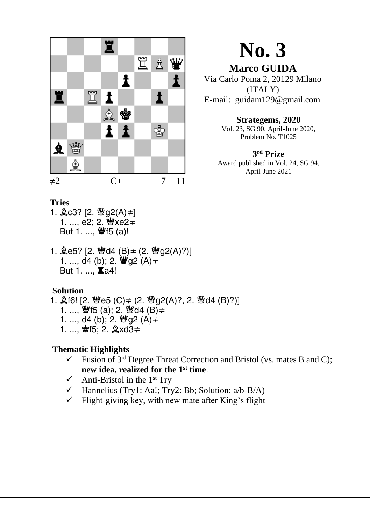

**Marco GUIDA** Via Carlo Poma 2, 20129 Milano (ITALY) E-mail: guidam129@gmail.com

#### **Strategems, 2020**

Vol. 23, SG 90, April-June 2020, Problem No. T1025

#### **3 rd Prize** Award published in Vol. 24, SG 94, April-June 2021

#### **Tries**

- 1.  $\angle$  c3? [2. 曾q2(A)  $\neq$  ] 1. ..., e2; 2. *>* Ye2≠ But 1. ..., 豐f5 (a)!
- 1.  $\angle$ e5? [2. 曾d4 (B)  $\neq$  (2. 曾g2(A)?)] 1. ...,  $d4$  (b); 2.  $\mathscr{G}q2$  (A)  $\neq$ But 1. ..., **Ia4!**

#### **Solution**

- 1.  $$16!$  [2. 曾e5 (C)  $\neq$  (2. 曾g2(A)?, 2. 曾d4 (B)?)]
	- 1. ..., 豐f5 (a); 2. 豐d4 (B)≠
	- 1. ..., d4 (b); 2.  $\mathscr{H}$ g2 (A)  $\neq$
	- 1. .... 會f5; 2. gxd3≠

- $\checkmark$  Fusion of 3<sup>rd</sup> Degree Threat Correction and Bristol (vs. mates B and C); **new idea, realized for the 1st time**.
- $\checkmark$  Anti-Bristol in the 1<sup>st</sup> Trv
- $\checkmark$  Hannelius (Try1: Aa!; Try2: Bb; Solution: a/b-B/A)
- $\checkmark$  Flight-giving key, with new mate after King's flight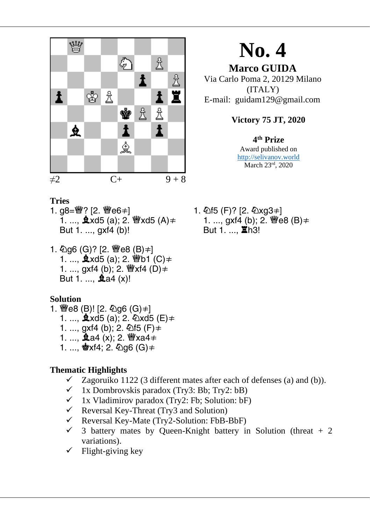

**Marco GUIDA** Via Carlo Poma 2, 20129 Milano (ITALY) E-mail: guidam129@gmail.com

## **Victory 75 JT, 2020**

## **4 th Prize**

Award published on [http://selivanov.world](http://selivanov.world/) March 23rd, 2020

- **Tries**
- 1. g8=曾? [2. 曾e6≠] 1. ...,  $\&$ xd5 (a); 2.  $\&$ xd5 (A)  $\neq$ But 1. ..., gxf4 (b)!
- 1.  $\text{Q}$ g6 (G)? [2. 曾e8 (B)≠] 1. ...,  $\hat{\mathbf{g}}$  xd5 (a): 2.  $\hat{\mathbf{g}}$  b1 (C)  $\neq$ 1. ..., gxf4 (b); 2. *Wexf4* (D)  $\neq$ But 1. ..., **2**a4 (x)!

#### **Solution**

- 1. 曾e8 (B)! [2. 勾g6 (G)=] 1. ...,  $\&$ xd5 (a); 2.  $\&$ xd5 (E) $\neq$ 1. ..., gxf4 (b); 2.  $\Phi$ f5 (F)  $\neq$ 1. ..., 鱼a4 (x); 2. 瞥xa4≠
	- 1. ..., **些**xf4; 2. 幻q6 (G)≠

## **Thematic Highlights**

- $\checkmark$  Zagoruiko 1122 (3 different mates after each of defenses (a) and (b)).
- $\checkmark$  1x Dombrovskis paradox (Try3: Bb; Try2: bB)
- $\checkmark$  1x Vladimirov paradox (Try2: Fb; Solution: bF)
- $\checkmark$  Reversal Key-Threat (Try3 and Solution)
- ✓ Reversal Key-Mate (Try2-Solution: FbB-BbF)
- $\checkmark$  3 battery mates by Queen-Knight battery in Solution (threat + 2 variations).
- $\checkmark$  Flight-giving key

1. 2f5 (F)? [2. 2xg3 = ] 1. ..., gxf4 (b); 2. 曾e8 (B)≠ But 1. ..., **X**h3!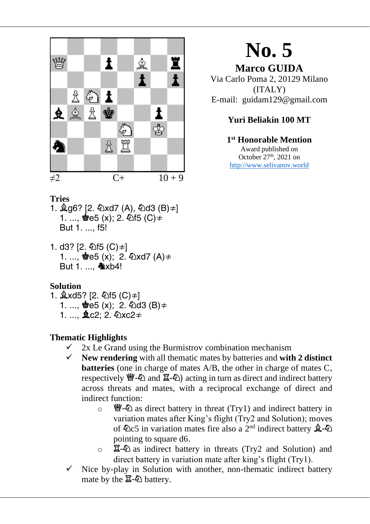

**Marco GUIDA** Via Carlo Poma 2, 20129 Milano (ITALY) E-mail: guidam129@gmail.com

## **Yuri Beliakin 100 MT**

#### **1 st Honorable Mention** Award published on October  $27<sup>th</sup>$ , 2021 on [http://www.selivanov.world](http://www.selivanov.world/)

#### **Tries**

- 1.  $\angle$ g6? [2. 公xd7 (A), 公d3 (B)≠] 1. ...,  $\Phi$ e5 (x); 2.  $\Phi$ f5 (C)  $\neq$ But 1. .... f5!
- 1. d3? [2. 415 (C) ≠] 1. ...,  $\dot{Q} = 5(x)$ ; 2.  $\Δ x d7 (A) \neq$ But 1. .... **A**xb4!

#### **Solution**

- 1.  $\&$ xd5? [2. 公f5 (C)≠] 1. ...,  $\stackrel{\bullet}{\bullet}$ e5 (x); 2. 2d3 (B)  $\neq$ 
	- 1. ...,  $\angle$  c2; 2.  $\angle$  xc2  $\neq$

- $\checkmark$  2x Le Grand using the Burmistrov combination mechanism
- ✓ **New rendering** with all thematic mates by batteries and **with 2 distinct batteries** (one in charge of mates A/B, the other in charge of mates C, respectively  $\mathcal{L}(\Delta)$  and  $\mathcal{Z}(\Delta)$  acting in turn as direct and indirect battery across threats and mates, with a reciprocal exchange of direct and indirect function:
	- $\circ$   $\mathcal{Q}$  as direct battery in threat (Try1) and indirect battery in variation mates after King's flight (Try2 and Solution); moves of  $\hat{\mathbb{Q}}$ c5 in variation mates fire also a 2<sup>nd</sup> indirect battery  $\hat{\mathbb{Q}}$ - $\hat{\mathbb{Q}}$ pointing to square d6.
	- $\circ$   $\mathbb{E}-\mathbb{E}$  as indirect battery in threats (Try2 and Solution) and direct battery in variation mate after king's flight (Try1).
- Nice by-play in Solution with another, non-thematic indirect battery mate by the  $\mathbb{Z}\text{-}\mathbb{Z}$  battery.